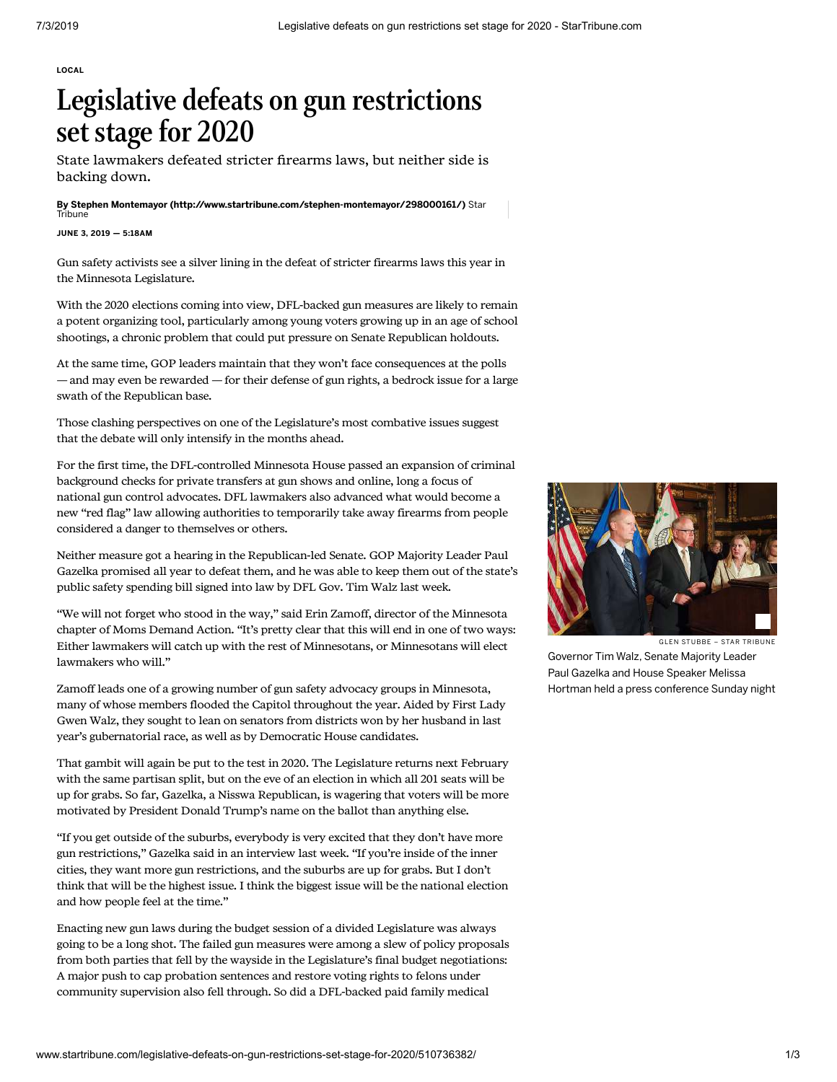[LOCAL](http://www.startribune.com/local/)

## Legislative defeats on gun restrictions set stage for 2020

State lawmakers defeated stricter firearms laws, but neither side is backing down.

By [Stephen Montemayor \(http://www.startribune.com/stephen-montemayor/298000161/\)](http://www.startribune.com/stephen-montemayor/298000161/) Star **Tribune** 

## JUNE 3, 2019 — 5:18AM

Gun safety activists see a silver lining in the defeat of stricter firearms laws this year in the Minnesota Legislature.

With the 2020 elections coming into view, DFL-backed gun measures are likely to remain a potent organizing tool, particularly among young voters growing up in an age of school shootings, a chronic problem that could put pressure on Senate Republican holdouts.

At the same time, GOP leaders maintain that they won't face consequences at the polls — and may even be rewarded — for their defense of gun rights, a bedrock issue for a large swath of the Republican base.

Those clashing perspectives on one of the Legislature's most combative issues suggest that the debate will only intensify in the months ahead.

For the first time, the DFL-controlled Minnesota House passed an expansion of criminal background checks for private transfers at gun shows and online, long a focus of national gun control advocates. DFL lawmakers also advanced what would become a new "red flag" law allowing authorities to temporarily take away firearms from people considered a danger to themselves or others.

Neither measure got a hearing in the Republican-led Senate. GOP Majority Leader Paul Gazelka promised all year to defeat them, and he was able to keep them out of the state's public safety spending bill signed into law by DFL Gov. Tim Walz last week.

"We will not forget who stood in the way," said Erin Zamoff, director of the Minnesota chapter of Moms Demand Action. "It's pretty clear that this will end in one of two ways: Either lawmakers will catch up with the rest of Minnesotans, or Minnesotans will elect lawmakers who will."

Zamoff leads one of a growing number of gun safety advocacy groups in Minnesota, many of whose members flooded the Capitol throughout the year. Aided by First Lady Gwen Walz, they sought to lean on senators from districts won by her husband in last year's gubernatorial race, as well as by Democratic House candidates.

That gambit will again be put to the test in 2020. The Legislature returns next February with the same partisan split, but on the eve of an election in which all 201 seats will be up for grabs. So far, Gazelka, a Nisswa Republican, is wagering that voters will be more motivated by President Donald Trump's name on the ballot than anything else.

"If you get outside of the suburbs, everybody is very excited that they don't have more gun restrictions," Gazelka said in an interview last week. "If you're inside of the inner cities, they want more gun restrictions, and the suburbs are up for grabs. But I don't think that will be the highest issue. I think the biggest issue will be the national election and how people feel at the time."

Enacting new gun laws during the budget session of a divided Legislature was always going to be a long shot. The failed gun measures were among a slew of policy proposals from both parties that fell by the wayside in the Legislature's final budget negotiations: A major push to cap probation sentences and restore voting rights to felons under community supervision also fell through. So did a DFL-backed paid family medical



GLEN STUBBE - STAR TRIBUNE

Governor Tim Walz, Senate Majority Leader Paul Gazelka and House Speaker Melissa Hortman held a press conference Sunday night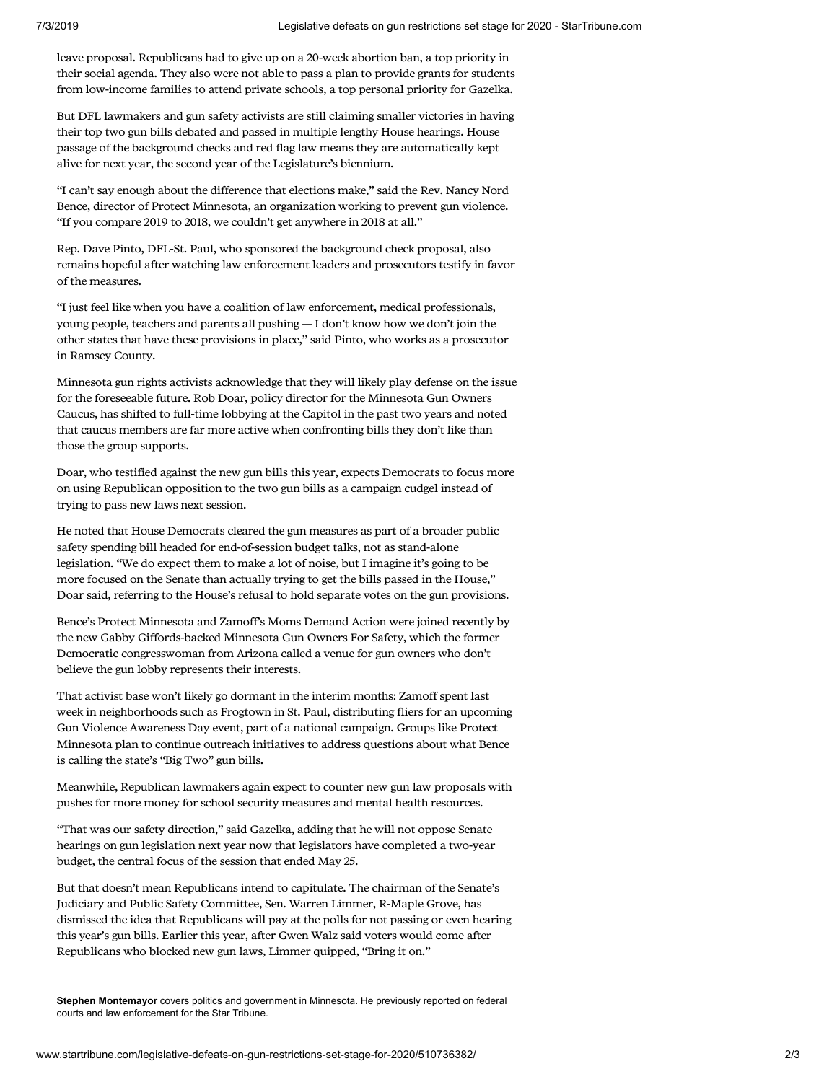leave proposal. Republicans had to give up on a 20-week abortion ban, a top priority in their social agenda. They also were not able to pass a plan to provide grants for students from low-income families to attend private schools, a top personal priority for Gazelka.

But DFL lawmakers and gun safety activists are still claiming smaller victories in having their top two gun bills debated and passed in multiple lengthy House hearings. House passage of the background checks and red flag law means they are automatically kept alive for next year, the second year of the Legislature's biennium.

"I can't say enough about the difference that elections make," said the Rev. Nancy Nord Bence, director of Protect Minnesota, an organization working to prevent gun violence. "If you compare 2019 to 2018, we couldn't get anywhere in 2018 at all."

Rep. Dave Pinto, DFL-St. Paul, who sponsored the background check proposal, also remains hopeful after watching law enforcement leaders and prosecutors testify in favor of the measures.

"I just feel like when you have a coalition of law enforcement, medical professionals, young people, teachers and parents all pushing — I don't know how we don't join the other states that have these provisions in place," said Pinto, who works as a prosecutor in Ramsey County.

Minnesota gun rights activists acknowledge that they will likely play defense on the issue for the foreseeable future. Rob Doar, policy director for the Minnesota Gun Owners Caucus, has shifted to full-time lobbying at the Capitol in the past two years and noted that caucus members are far more active when confronting bills they don't like than those the group supports.

Doar, who testified against the new gun bills this year, expects Democrats to focus more on using Republican opposition to the two gun bills as a campaign cudgel instead of trying to pass new laws next session.

He noted that House Democrats cleared the gun measures as part of a broader public safety spending bill headed for end-of-session budget talks, not as stand-alone legislation. "We do expect them to make a lot of noise, but I imagine it's going to be more focused on the Senate than actually trying to get the bills passed in the House," Doar said, referring to the House's refusal to hold separate votes on the gun provisions.

Bence's Protect Minnesota and Zamoff's Moms Demand Action were joined recently by the new Gabby Giffords-backed Minnesota Gun Owners For Safety, which the former Democratic congresswoman from Arizona called a venue for gun owners who don't believe the gun lobby represents their interests.

That activist base won't likely go dormant in the interim months: Zamoff spent last week in neighborhoods such as Frogtown in St. Paul, distributing fliers for an upcoming Gun Violence Awareness Day event, part of a national campaign. Groups like Protect Minnesota plan to continue outreach initiatives to address questions about what Bence is calling the state's "Big Two" gun bills.

Meanwhile, Republican lawmakers again expect to counter new gun law proposals with pushes for more money for school security measures and mental health resources.

"That was our safety direction," said Gazelka, adding that he will not oppose Senate hearings on gun legislation next year now that legislators have completed a two-year budget, the central focus of the session that ended May 25.

But that doesn't mean Republicans intend to capitulate. The chairman of the Senate's Judiciary and Public Safety Committee, Sen. Warren Limmer, R-Maple Grove, has dismissed the idea that Republicans will pay at the polls for not passing or even hearing this year's gun bills. Earlier this year, after Gwen Walz said voters would come after Republicans who blocked new gun laws, Limmer quipped, "Bring it on."

**Stephen Montemayor** covers politics and government in Minnesota. He previously reported on federal courts and law enforcement for the Star Tribune.